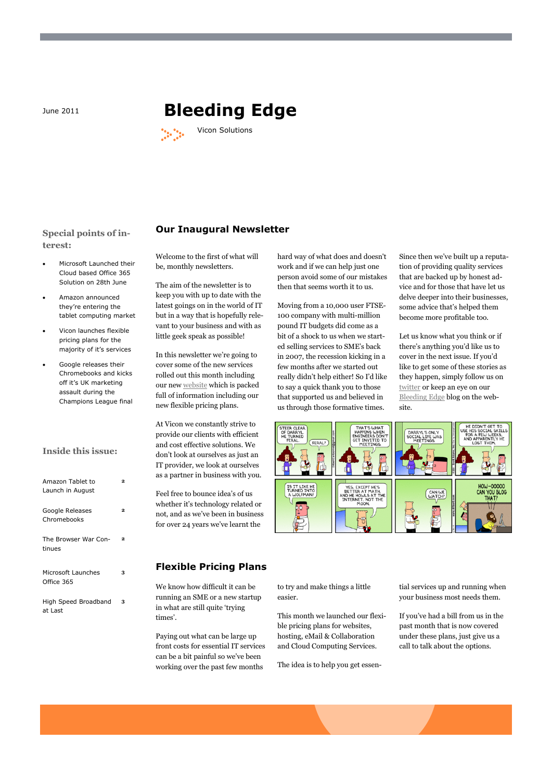# **June 2011 <b>Bleeding Edge**



**Special points of interest:**

- Microsoft Launched their Cloud based Office 365 Solution on 28th June
- Amazon announced they're entering the tablet computing market
- Vicon launches flexible pricing plans for the majority of it's services
- Google releases their Chromebooks and kicks off it's UK marketing assault during the Champions League final

#### **Inside this issue:**

| Amazon Tablet to<br>Launch in August |   |
|--------------------------------------|---|
| Google Releases<br>Chromebooks       | 2 |
| The Browser War Con-<br>tinues       | 2 |
| Microsoft Launches<br>Office 365     | 3 |
| High Speed Broadband<br>at Last      | 3 |

#### Welcome to the first of what will be, monthly newsletters.

**Our Inaugural Newsletter**

The aim of the newsletter is to keep you with up to date with the latest goings on in the world of IT but in a way that is hopefully relevant to your business and with as little geek speak as possible!

In this newsletter we"re going to cover some of the new services rolled out this month including our new [website](http://www.viconsolutions.co.uk) which is packed full of information including our new flexible pricing plans.

At Vicon we constantly strive to provide our clients with efficient and cost effective solutions. We don"t look at ourselves as just an IT provider, we look at ourselves as a partner in business with you.

Feel free to bounce idea's of us whether it's technology related or not, and as we"ve been in business for over 24 years we"ve learnt the

## **Flexible Pricing Plans**

We know how difficult it can be running an SME or a new startup in what are still quite "trying times'.

Paying out what can be large up front costs for essential IT services can be a bit painful so we"ve been working over the past few months

hard way of what does and doesn't work and if we can help just one person avoid some of our mistakes then that seems worth it to us.

Moving from a 10,000 user FTSE-100 company with multi-million pound IT budgets did come as a bit of a shock to us when we started selling services to SME"s back in 2007, the recession kicking in a few months after we started out really didn"t help either! So I"d like to say a quick thank you to those that supported us and believed in us through those formative times.

Since then we"ve built up a reputation of providing quality services that are backed up by honest advice and for those that have let us delve deeper into their businesses, some advice that"s helped them become more profitable too.

Let us know what you think or if there"s anything you"d like us to cover in the next issue. If you"d like to get some of these stories as they happen, simply follow us on [twitter](http://www.twitter.com/viconsolutions) or keep an eye on our [Bleeding Edge](http://www.viconsolutions.co.uk/category/bleeding-edge/) blog on the website.



to try and make things a little easier.

This month we launched our flexible pricing plans for websites, hosting, eMail & Collaboration and Cloud Computing Services.

The idea is to help you get essen-

tial services up and running when your business most needs them.

If you"ve had a bill from us in the past month that is now covered under these plans, just give us a call to talk about the options.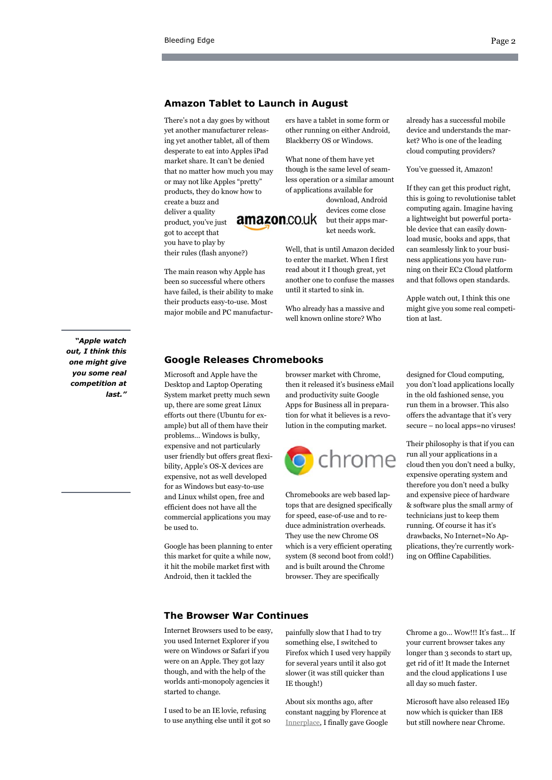#### **Amazon Tablet to Launch in August**

There"s not a day goes by without yet another manufacturer releasing yet another tablet, all of them desperate to eat into Apples iPad market share. It can"t be denied that no matter how much you may or may not like Apples "pretty" products, they do know how to create a buzz and deliver a quality amazon.co.uk product, you"ve just got to accept that you have to play by

The main reason why Apple has been so successful where others have failed, is their ability to make their products easy-to-use. Most major mobile and PC manufactur-

their rules (flash anyone?)

ers have a tablet in some form or other running on either Android, Blackberry OS or Windows.

What none of them have yet though is the same level of seamless operation or a similar amount of applications available for

> download, Android devices come close but their apps market needs work.

Well, that is until Amazon decided to enter the market. When I first read about it I though great, yet another one to confuse the masses until it started to sink in.

Who already has a massive and well known online store? Who

already has a successful mobile device and understands the market? Who is one of the leading cloud computing providers?

#### You've guessed it, Amazon!

If they can get this product right, this is going to revolutionise tablet computing again. Imagine having a lightweight but powerful portable device that can easily download music, books and apps, that can seamlessly link to your business applications you have running on their EC2 Cloud platform and that follows open standards.

Apple watch out, I think this one might give you some real competition at last.

### **Google Releases Chromebooks**

Microsoft and Apple have the Desktop and Laptop Operating System market pretty much sewn up, there are some great Linux efforts out there (Ubuntu for example) but all of them have their problems… Windows is bulky, expensive and not particularly user friendly but offers great flexibility, Apple"s OS-X devices are expensive, not as well developed for as Windows but easy-to-use and Linux whilst open, free and efficient does not have all the commercial applications you may be used to.

Google has been planning to enter this market for quite a while now, it hit the mobile market first with Android, then it tackled the

browser market with Chrome, then it released it's business eMail and productivity suite Google Apps for Business all in preparation for what it believes is a revolution in the computing market.



Chromebooks are web based laptops that are designed specifically for speed, ease-of-use and to reduce administration overheads. They use the new Chrome OS which is a very efficient operating system (8 second boot from cold!) and is built around the Chrome browser. They are specifically

designed for Cloud computing, you don"t load applications locally in the old fashioned sense, you run them in a browser. This also offers the advantage that it's very secure – no local apps=no viruses!

Their philosophy is that if you can run all your applications in a cloud then you don"t need a bulky, expensive operating system and therefore you don"t need a bulky and expensive piece of hardware & software plus the small army of technicians just to keep them running. Of course it has it's drawbacks, No Internet=No Applications, they"re currently working on Offline Capabilities.

#### **The Browser War Continues**

Internet Browsers used to be easy, you used Internet Explorer if you were on Windows or Safari if you were on an Apple. They got lazy though, and with the help of the worlds anti-monopoly agencies it started to change.

I used to be an IE lovie, refusing to use anything else until it got so painfully slow that I had to try something else, I switched to Firefox which I used very happily for several years until it also got slower (it was still quicker than IE though!)

About six months ago, after constant nagging by Florence at [Innerplace,](http://www.innerplace.co.uk) I finally gave Google

Chrome a go... Wow!!! It's fast... If your current browser takes any longer than 3 seconds to start up, get rid of it! It made the Internet and the cloud applications I use all day so much faster.

Microsoft have also released IE9 now which is quicker than IE8 but still nowhere near Chrome.

*"Apple watch out, I think this one might give you some real competition at last."*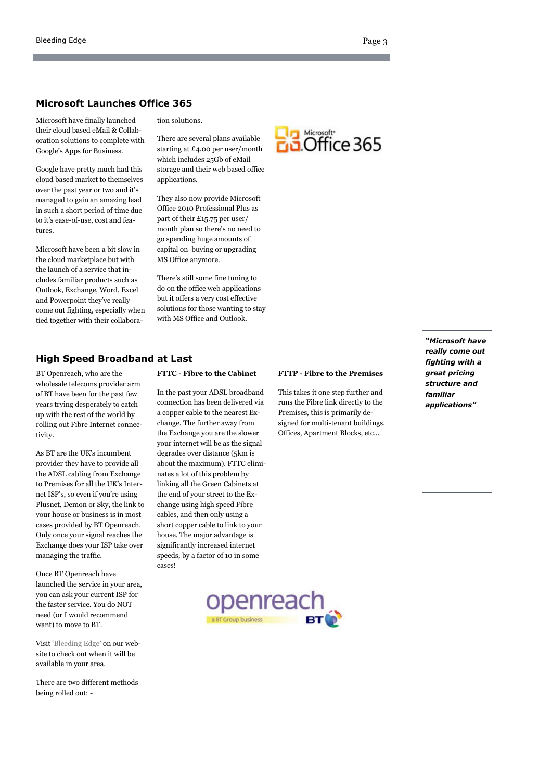#### **Microsoft Launches Office 365**

Microsoft have finally launched their cloud based eMail & Collaboration solutions to complete with Google"s Apps for Business.

Google have pretty much had this cloud based market to themselves over the past year or two and it's managed to gain an amazing lead in such a short period of time due to it's ease-of-use, cost and features.

Microsoft have been a bit slow in the cloud marketplace but with the launch of a service that includes familiar products such as Outlook, Exchange, Word, Excel and Powerpoint they"ve really come out fighting, especially when tied together with their collaboration solutions.

There are several plans available starting at £4.00 per user/month which includes 25Gb of eMail storage and their web based office applications.

They also now provide Microsoft Office 2010 Professional Plus as part of their £15.75 per user/ month plan so there"s no need to go spending huge amounts of capital on buying or upgrading MS Office anymore.

There"s still some fine tuning to do on the office web applications but it offers a very cost effective solutions for those wanting to stay with MS Office and Outlook.



### **High Speed Broadband at Last**

BT Openreach, who are the wholesale telecoms provider arm of BT have been for the past few years trying desperately to catch up with the rest of the world by rolling out Fibre Internet connectivity.

As BT are the UK"s incumbent provider they have to provide all the ADSL cabling from Exchange to Premises for all the UK"s Internet ISP"s, so even if you"re using Plusnet, Demon or Sky, the link to your house or business is in most cases provided by BT Openreach. Only once your signal reaches the Exchange does your ISP take over managing the traffic.

Once BT Openreach have launched the service in your area, you can ask your current ISP for the faster service. You do NOT need (or I would recommend want) to move to BT.

Visit "[Bleeding Edge](http://www.viconsolutions.co.uk/category/bleeding-edge/)" on our website to check out when it will be available in your area.

There are two different methods being rolled out: -

#### **FTTC - Fibre to the Cabinet**

In the past your ADSL broadband connection has been delivered via a copper cable to the nearest Exchange. The further away from the Exchange you are the slower your internet will be as the signal degrades over distance (5km is about the maximum). FTTC eliminates a lot of this problem by linking all the Green Cabinets at the end of your street to the Exchange using high speed Fibre cables, and then only using a short copper cable to link to your house. The major advantage is significantly increased internet speeds, by a factor of 10 in some cases!

#### **FTTP - Fibre to the Premises**

This takes it one step further and runs the Fibre link directly to the Premises, this is primarily designed for multi-tenant buildings. Offices, Apartment Blocks, etc...

*"Microsoft have really come out fighting with a great pricing structure and familiar applications"*